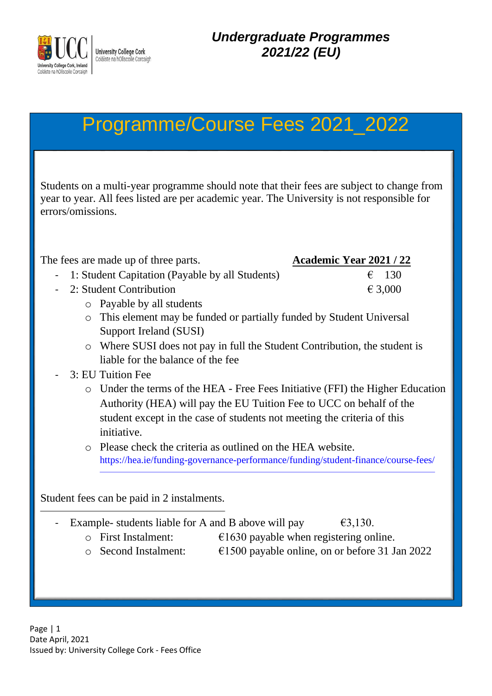

# Programme/Course Fees 2021\_2022

Students on a multi-year programme should note that their fees are subject to change from year to year. All fees listed are per academic year. The University is not responsible for errors/omissions.

| The fees are made up of three parts.                        | <b>Academic Year 2021 / 22</b>                                                     |
|-------------------------------------------------------------|------------------------------------------------------------------------------------|
| 1: Student Capitation (Payable by all Students)             | $\epsilon$ 130                                                                     |
| 2: Student Contribution                                     | € 3,000                                                                            |
| Payable by all students<br>$\circ$                          |                                                                                    |
| $\circ$                                                     | This element may be funded or partially funded by Student Universal                |
| Support Ireland (SUSI)                                      |                                                                                    |
| $\circ$                                                     | Where SUSI does not pay in full the Student Contribution, the student is           |
| liable for the balance of the fee                           |                                                                                    |
| 3: EU Tuition Fee                                           |                                                                                    |
|                                                             | o Under the terms of the HEA - Free Fees Initiative (FFI) the Higher Education     |
|                                                             | Authority (HEA) will pay the EU Tuition Fee to UCC on behalf of the                |
|                                                             | student except in the case of students not meeting the criteria of this            |
| initiative.                                                 |                                                                                    |
| o Please check the criteria as outlined on the HEA website. |                                                                                    |
|                                                             | https://hea.ie/funding-governance-performance/funding/student-finance/course-fees/ |
|                                                             |                                                                                    |
| Student fees can be paid in 2 instalments.                  |                                                                                    |
|                                                             |                                                                                    |
| Example- students liable for A and B above will pay         | €3,130.                                                                            |
| <b>First Instalment:</b><br>$\Omega$                        | $\epsilon$ 1630 payable when registering online.                                   |
| <b>Second Instalment:</b><br>$\circ$                        | $\epsilon$ 1500 payable online, on or before 31 Jan 2022                           |
|                                                             |                                                                                    |
|                                                             |                                                                                    |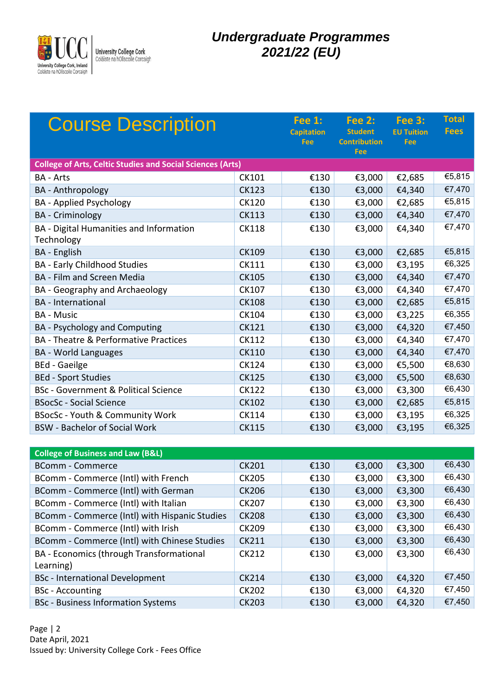

| <b>Course Description</b>                                         |                    | <b>Fee 1:</b><br><b>Capitation</b><br>Fee | <b>Fee 2:</b><br><b>Student</b><br><b>Contribution</b><br>Fee | <b>Fee 3:</b><br><b>EU Tuition</b><br>Fee | <b>Total</b><br><b>Fees</b> |
|-------------------------------------------------------------------|--------------------|-------------------------------------------|---------------------------------------------------------------|-------------------------------------------|-----------------------------|
| <b>College of Arts, Celtic Studies and Social Sciences (Arts)</b> |                    |                                           |                                                               |                                           |                             |
| <b>BA - Arts</b>                                                  | CK101              | €130                                      | €3,000                                                        | €2,685                                    | €5,815                      |
| <b>BA</b> - Anthropology                                          | <b>CK123</b>       | €130                                      | €3,000                                                        | €4,340                                    | €7,470                      |
| <b>BA</b> - Applied Psychology                                    | <b>CK120</b>       | €130                                      | €3,000                                                        | €2,685                                    | €5,815                      |
| <b>BA</b> - Criminology                                           | <b>CK113</b>       | €130                                      | €3,000                                                        | €4,340                                    | €7,470                      |
| BA - Digital Humanities and Information<br>Technology             | <b>CK118</b>       | €130                                      | €3,000                                                        | €4,340                                    | €7,470                      |
| BA - English                                                      | <b>CK109</b>       | €130                                      | €3,000                                                        | €2,685                                    | €5,815                      |
| <b>BA - Early Childhood Studies</b>                               | <b>CK111</b>       | €130                                      | €3,000                                                        | €3,195                                    | €6,325                      |
| <b>BA - Film and Screen Media</b>                                 | <b>CK105</b>       | €130                                      | €3,000                                                        | €4,340                                    | €7,470                      |
| BA - Geography and Archaeology                                    | <b>CK107</b>       | €130                                      | €3,000                                                        | €4,340                                    | €7,470                      |
| <b>BA</b> - International                                         | <b>CK108</b>       | €130                                      | €3,000                                                        | €2,685                                    | €5,815                      |
| <b>BA - Music</b>                                                 | CK104              | €130                                      | €3,000                                                        | €3,225                                    | €6,355                      |
| <b>BA</b> - Psychology and Computing                              | <b>CK121</b>       | €130                                      | €3,000                                                        | €4,320                                    | €7,450                      |
| BA - Theatre & Performative Practices                             | <b>CK112</b>       | €130                                      | €3,000                                                        | €4,340                                    | €7,470                      |
| <b>BA</b> - World Languages                                       | <b>CK110</b>       | €130                                      | €3,000                                                        | €4,340                                    | €7,470                      |
| <b>BEd - Gaeilge</b>                                              | <b>CK124</b>       | €130                                      | €3,000                                                        | €5,500                                    | €8,630                      |
| <b>BEd - Sport Studies</b>                                        | <b>CK125</b>       | €130                                      | €3,000                                                        | €5,500                                    | €8,630                      |
| <b>BSc - Government &amp; Political Science</b>                   | <b>CK122</b>       | €130                                      | €3,000                                                        | €3,300                                    | €6,430                      |
| <b>BSocSc - Social Science</b>                                    | <b>CK102</b>       | €130                                      | €3,000                                                        | €2,685                                    | €5,815                      |
| BSocSc - Youth & Community Work                                   | <b>CK114</b>       | €130                                      | €3,000                                                        | €3,195                                    | €6,325                      |
| <b>BSW - Bachelor of Social Work</b>                              | <b>CK115</b>       | €130                                      | €3,000                                                        | €3,195                                    | €6,325                      |
|                                                                   |                    |                                           |                                                               |                                           |                             |
| <b>College of Business and Law (B&amp;L)</b>                      |                    |                                           |                                                               |                                           |                             |
| <b>DC---</b><br>$\sim$ $\sim$                                     | C <sub>1</sub> 204 | 0.222                                     |                                                               | $0.000$ $0.000$                           | $FA$ $120$                  |

| College of Business and Law (B&L)             |              |      |        |        |        |
|-----------------------------------------------|--------------|------|--------|--------|--------|
| <b>BComm - Commerce</b>                       | <b>CK201</b> | €130 | €3,000 | €3,300 | €6,430 |
| BComm - Commerce (Intl) with French           | <b>CK205</b> | €130 | €3,000 | €3,300 | €6,430 |
| BComm - Commerce (Intl) with German           | <b>CK206</b> | €130 | €3,000 | €3,300 | €6,430 |
| BComm - Commerce (Intl) with Italian          | <b>CK207</b> | €130 | €3,000 | €3,300 | €6,430 |
| BComm - Commerce (Intl) with Hispanic Studies | <b>CK208</b> | €130 | €3,000 | €3,300 | €6,430 |
| BComm - Commerce (Intl) with Irish            | <b>CK209</b> | €130 | €3,000 | €3,300 | €6,430 |
| BComm - Commerce (Intl) with Chinese Studies  | <b>CK211</b> | €130 | €3,000 | €3,300 | €6,430 |
| BA - Economics (through Transformational      | <b>CK212</b> | €130 | €3,000 | €3,300 | €6,430 |
| Learning)                                     |              |      |        |        |        |
| <b>BSc</b> - International Development        | <b>CK214</b> | €130 | €3,000 | €4,320 | €7,450 |
| <b>BSc</b> - Accounting                       | <b>CK202</b> | €130 | €3,000 | €4,320 | €7,450 |
| <b>BSc</b> - Business Information Systems     | <b>CK203</b> | €130 | €3,000 | €4,320 | €7,450 |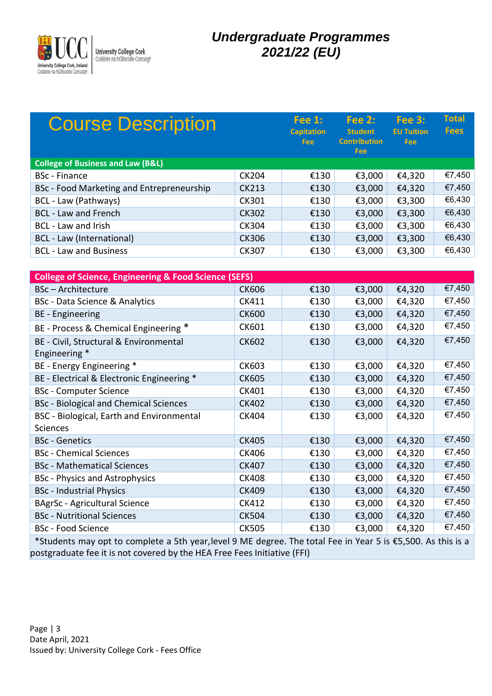

| <b>Course Description</b>                    |              | Fee $1:$<br><b>Capitation</b><br><b>Fee</b> | Fee $2:$<br><b>Student</b><br><b>Contribution</b><br>Fee: | <b>Fee 3:</b><br><b>EU Tuition</b><br><b>Fee</b> | <b>Total</b><br><b>Fees</b> |
|----------------------------------------------|--------------|---------------------------------------------|-----------------------------------------------------------|--------------------------------------------------|-----------------------------|
| <b>College of Business and Law (B&amp;L)</b> |              |                                             |                                                           |                                                  |                             |
| <b>BSc</b> - Finance                         | <b>CK204</b> | €130                                        | €3,000                                                    | €4,320                                           | €7,450                      |
| BSc - Food Marketing and Entrepreneurship    | <b>CK213</b> | €130                                        | €3,000                                                    | €4,320                                           | €7,450                      |
| BCL - Law (Pathways)                         | <b>CK301</b> | €130                                        | €3,000                                                    | €3,300                                           | €6,430                      |
| <b>BCL - Law and French</b>                  | <b>CK302</b> | €130                                        | €3,000                                                    | €3,300                                           | €6,430                      |
| <b>BCL</b> - Law and Irish                   | <b>CK304</b> | €130                                        | €3,000                                                    | €3,300                                           | €6,430                      |
| BCL - Law (International)                    | <b>CK306</b> | €130                                        | €3,000                                                    | €3,300                                           | €6,430                      |
| <b>BCL - Law and Business</b>                | <b>CK307</b> | €130                                        | €3,000                                                    | €3,300                                           | €6,430                      |

| <b>College of Science, Engineering &amp; Food Science (SEFS)</b>                                             |              |      |        |        |        |
|--------------------------------------------------------------------------------------------------------------|--------------|------|--------|--------|--------|
| <b>BSc-Architecture</b>                                                                                      | <b>CK606</b> | €130 | €3,000 | €4,320 | €7,450 |
| <b>BSc</b> - Data Science & Analytics                                                                        | CK411        | €130 | €3,000 | €4,320 | €7,450 |
| <b>BE</b> - Engineering                                                                                      | <b>CK600</b> | €130 | €3,000 | €4,320 | €7,450 |
| BE - Process & Chemical Engineering *                                                                        | <b>CK601</b> | €130 | €3,000 | €4,320 | €7,450 |
| BE - Civil, Structural & Environmental<br>Engineering *                                                      | <b>CK602</b> | €130 | €3,000 | €4,320 | €7,450 |
| BE - Energy Engineering *                                                                                    | <b>CK603</b> | €130 | €3,000 | €4,320 | €7,450 |
| BE - Electrical & Electronic Engineering *                                                                   | <b>CK605</b> | €130 | €3,000 | €4,320 | €7,450 |
| <b>BSc - Computer Science</b>                                                                                | CK401        | €130 | €3,000 | €4,320 | €7,450 |
| <b>BSc</b> - Biological and Chemical Sciences                                                                | <b>CK402</b> | €130 | €3,000 | €4,320 | €7,450 |
| <b>BSC</b> - Biological, Earth and Environmental                                                             | <b>CK404</b> | €130 | €3,000 | €4,320 | €7,450 |
| Sciences                                                                                                     |              |      |        |        |        |
| <b>BSc</b> - Genetics                                                                                        | <b>CK405</b> | €130 | €3,000 | €4,320 | €7,450 |
| <b>BSc</b> - Chemical Sciences                                                                               | <b>CK406</b> | €130 | €3,000 | €4,320 | €7,450 |
| <b>BSc</b> - Mathematical Sciences                                                                           | <b>CK407</b> | €130 | €3,000 | €4,320 | €7,450 |
| <b>BSc</b> - Physics and Astrophysics                                                                        | <b>CK408</b> | €130 | €3,000 | €4,320 | €7,450 |
| <b>BSc</b> - Industrial Physics                                                                              | <b>CK409</b> | €130 | €3,000 | €4,320 | €7,450 |
| <b>BAgrSc - Agricultural Science</b>                                                                         | CK412        | €130 | €3,000 | €4,320 | €7,450 |
| <b>BSc</b> - Nutritional Sciences                                                                            | <b>CK504</b> | €130 | €3,000 | €4,320 | €7,450 |
| <b>BSc</b> - Food Science                                                                                    | <b>CK505</b> | €130 | €3,000 | €4,320 | €7,450 |
| *Students may opt to complete a 5th year, level 9 ME degree. The total Fee in Year 5 is €5,500. As this is a |              |      |        |        |        |

postgraduate fee it is not covered by the HEA Free Fees Initiative (FFI)